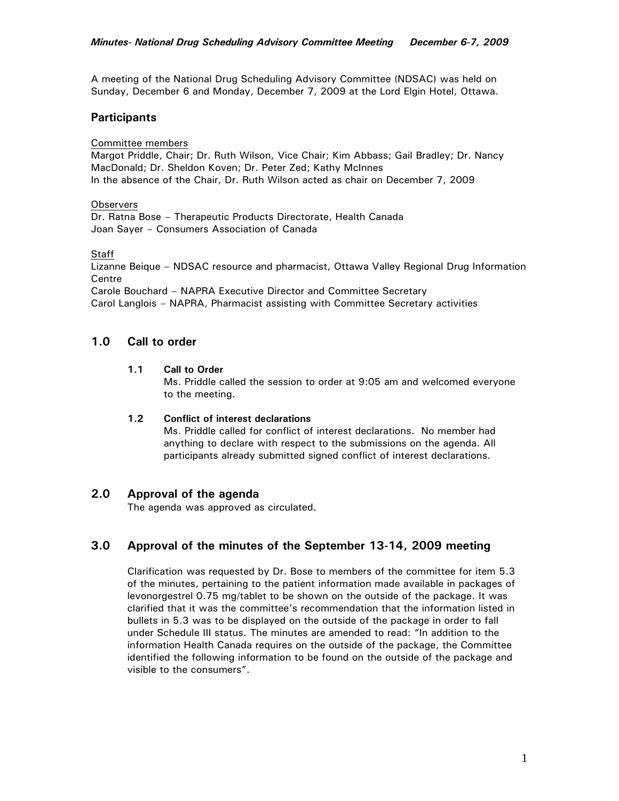A meeting of the National Drug Scheduling Advisory Committee (NDSAC) was held on Sunday, December 6 and Monday, December 7, 2009 at the Lord Elgin Hotel, Ottawa.

## **Participants**

Committee members

Margot Priddle, Chair; Dr. Ruth Wilson, Vice Chair; Kim Abbass; Gail Bradley; Dr. Nancy MacDonald; Dr. Sheldon Koven; Dr. Peter Zed; Kathy McInnes In the absence of the Chair, Dr. Ruth Wilson acted as chair on December 7, 2009

#### **Observers**

Dr. Ratna Bose – Therapeutic Products Directorate, Health Canada Joan Sayer – Consumers Association of Canada

### **Staff**

Lizanne Beique – NDSAC resource and pharmacist, Ottawa Valley Regional Drug Information **Centre** 

Carole Bouchard – NAPRA Executive Director and Committee Secretary Carol Langlois – NAPRA, Pharmacist assisting with Committee Secretary activities

## **1.0 Call to order**

#### **1.1 Call to Order**

Ms. Priddle called the session to order at 9:05 am and welcomed everyone to the meeting.

### **1.2 Conflict of interest declarations**

Ms. Priddle called for conflict of interest declarations. No member had anything to declare with respect to the submissions on the agenda. All participants already submitted signed conflict of interest declarations.

### **2.0 Approval of the agenda**

The agenda was approved as circulated.

# **3.0 Approval of the minutes of the September 13-14, 2009 meeting**

Clarification was requested by Dr. Bose to members of the committee for item 5.3 of the minutes, pertaining to the patient information made available in packages of levonorgestrel 0.75 mg/tablet to be shown on the outside of the package. It was clarified that it was the committee's recommendation that the information listed in bullets in 5.3 was to be displayed on the outside of the package in order to fall under Schedule III status. The minutes are amended to read: "In addition to the information Health Canada requires on the outside of the package, the Committee identified the following information to be found on the outside of the package and visible to the consumers".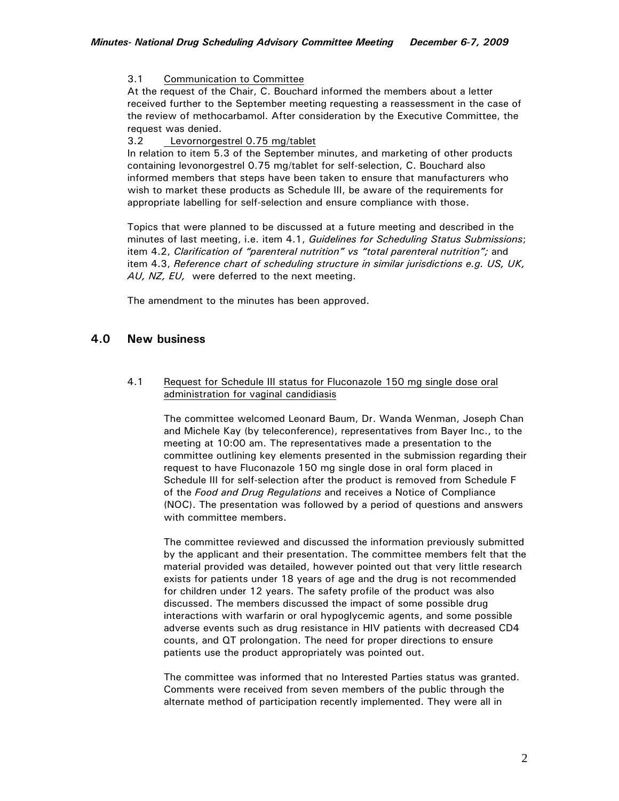3.1 Communication to Committee

At the request of the Chair, C. Bouchard informed the members about a letter received further to the September meeting requesting a reassessment in the case of the review of methocarbamol. After consideration by the Executive Committee, the request was denied.

3.2 Levornorgestrel 0.75 mg/tablet

In relation to item 5.3 of the September minutes, and marketing of other products containing levonorgestrel 0.75 mg/tablet for self-selection, C. Bouchard also informed members that steps have been taken to ensure that manufacturers who wish to market these products as Schedule III, be aware of the requirements for appropriate labelling for self-selection and ensure compliance with those.

Topics that were planned to be discussed at a future meeting and described in the minutes of last meeting, i.e. item 4.1, *Guidelines for Scheduling Status Submissions*; item 4.2, *Clarification of "parenteral nutrition" vs "total parenteral nutrition";* and item 4.3, *Reference chart of scheduling structure in similar jurisdictions e.g. US, UK, AU, NZ, EU,* were deferred to the next meeting.

The amendment to the minutes has been approved.

# **4.0 New business**

### 4.1 Request for Schedule III status for Fluconazole 150 mg single dose oral administration for vaginal candidiasis

The committee welcomed Leonard Baum, Dr. Wanda Wenman, Joseph Chan and Michele Kay (by teleconference), representatives from Bayer Inc., to the meeting at 10:00 am. The representatives made a presentation to the committee outlining key elements presented in the submission regarding their request to have Fluconazole 150 mg single dose in oral form placed in Schedule III for self-selection after the product is removed from Schedule F of the *Food and Drug Regulations* and receives a Notice of Compliance (NOC). The presentation was followed by a period of questions and answers with committee members.

The committee reviewed and discussed the information previously submitted by the applicant and their presentation. The committee members felt that the material provided was detailed, however pointed out that very little research exists for patients under 18 years of age and the drug is not recommended for children under 12 years. The safety profile of the product was also discussed. The members discussed the impact of some possible drug interactions with warfarin or oral hypoglycemic agents, and some possible adverse events such as drug resistance in HIV patients with decreased CD4 counts, and QT prolongation. The need for proper directions to ensure patients use the product appropriately was pointed out.

The committee was informed that no Interested Parties status was granted. Comments were received from seven members of the public through the alternate method of participation recently implemented. They were all in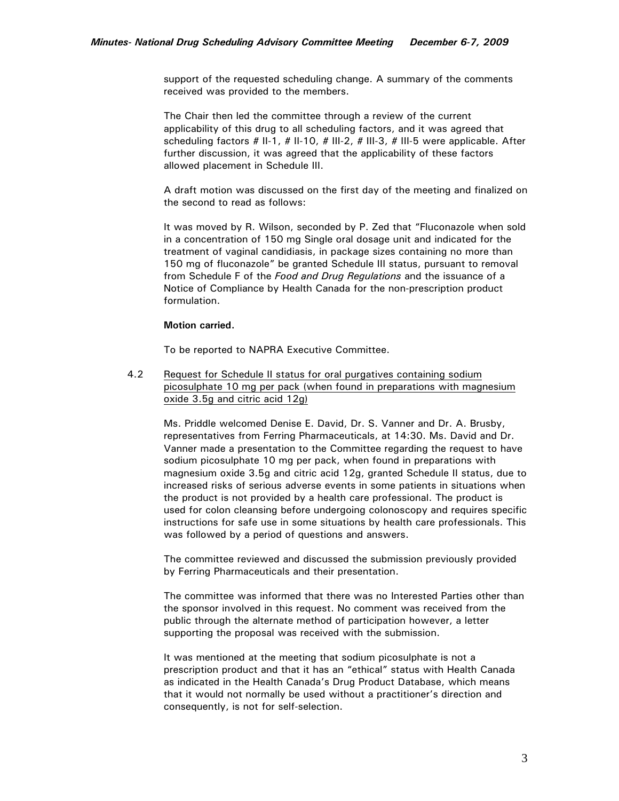support of the requested scheduling change. A summary of the comments received was provided to the members.

The Chair then led the committee through a review of the current applicability of this drug to all scheduling factors, and it was agreed that scheduling factors # II-1, # II-10, # III-2, # III-3, # III-5 were applicable. After further discussion, it was agreed that the applicability of these factors allowed placement in Schedule III.

A draft motion was discussed on the first day of the meeting and finalized on the second to read as follows:

It was moved by R. Wilson, seconded by P. Zed that "Fluconazole when sold in a concentration of 150 mg Single oral dosage unit and indicated for the treatment of vaginal candidiasis, in package sizes containing no more than 150 mg of fluconazole" be granted Schedule III status, pursuant to removal from Schedule F of the *Food and Drug Regulations* and the issuance of a Notice of Compliance by Health Canada for the non-prescription product formulation.

#### **Motion carried.**

To be reported to NAPRA Executive Committee.

4.2 Request for Schedule II status for oral purgatives containing sodium picosulphate 10 mg per pack (when found in preparations with magnesium oxide 3.5g and citric acid 12g)

Ms. Priddle welcomed Denise E. David, Dr. S. Vanner and Dr. A. Brusby, representatives from Ferring Pharmaceuticals, at 14:30. Ms. David and Dr. Vanner made a presentation to the Committee regarding the request to have sodium picosulphate 10 mg per pack, when found in preparations with magnesium oxide 3.5g and citric acid 12g, granted Schedule II status, due to increased risks of serious adverse events in some patients in situations when the product is not provided by a health care professional. The product is used for colon cleansing before undergoing colonoscopy and requires specific instructions for safe use in some situations by health care professionals. This was followed by a period of questions and answers.

The committee reviewed and discussed the submission previously provided by Ferring Pharmaceuticals and their presentation.

The committee was informed that there was no Interested Parties other than the sponsor involved in this request. No comment was received from the public through the alternate method of participation however, a letter supporting the proposal was received with the submission.

It was mentioned at the meeting that sodium picosulphate is not a prescription product and that it has an "ethical" status with Health Canada as indicated in the Health Canada's Drug Product Database, which means that it would not normally be used without a practitioner's direction and consequently, is not for self-selection.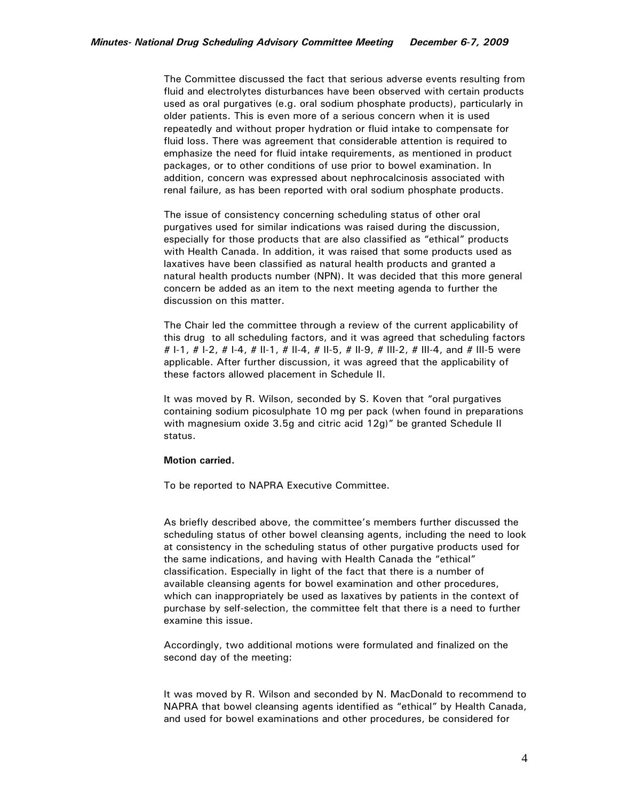The Committee discussed the fact that serious adverse events resulting from fluid and electrolytes disturbances have been observed with certain products used as oral purgatives (e.g. oral sodium phosphate products), particularly in older patients. This is even more of a serious concern when it is used repeatedly and without proper hydration or fluid intake to compensate for fluid loss. There was agreement that considerable attention is required to emphasize the need for fluid intake requirements, as mentioned in product packages, or to other conditions of use prior to bowel examination. In addition, concern was expressed about nephrocalcinosis associated with renal failure, as has been reported with oral sodium phosphate products.

The issue of consistency concerning scheduling status of other oral purgatives used for similar indications was raised during the discussion, especially for those products that are also classified as "ethical" products with Health Canada. In addition, it was raised that some products used as laxatives have been classified as natural health products and granted a natural health products number (NPN). It was decided that this more general concern be added as an item to the next meeting agenda to further the discussion on this matter.

The Chair led the committee through a review of the current applicability of this drug to all scheduling factors, and it was agreed that scheduling factors # 1-1, # 1-2, # 1-4, # 11-1, # 11-4, # 11-5, # 11-9, # 111-2, # 111-4, and # 111-5 were applicable. After further discussion, it was agreed that the applicability of these factors allowed placement in Schedule II.

It was moved by R. Wilson, seconded by S. Koven that "oral purgatives containing sodium picosulphate 10 mg per pack (when found in preparations with magnesium oxide 3.5g and citric acid 12g)" be granted Schedule II status.

#### **Motion carried.**

To be reported to NAPRA Executive Committee.

As briefly described above, the committee's members further discussed the scheduling status of other bowel cleansing agents, including the need to look at consistency in the scheduling status of other purgative products used for the same indications, and having with Health Canada the "ethical" classification. Especially in light of the fact that there is a number of available cleansing agents for bowel examination and other procedures, which can inappropriately be used as laxatives by patients in the context of purchase by self-selection, the committee felt that there is a need to further examine this issue.

Accordingly, two additional motions were formulated and finalized on the second day of the meeting:

It was moved by R. Wilson and seconded by N. MacDonald to recommend to NAPRA that bowel cleansing agents identified as "ethical" by Health Canada, and used for bowel examinations and other procedures, be considered for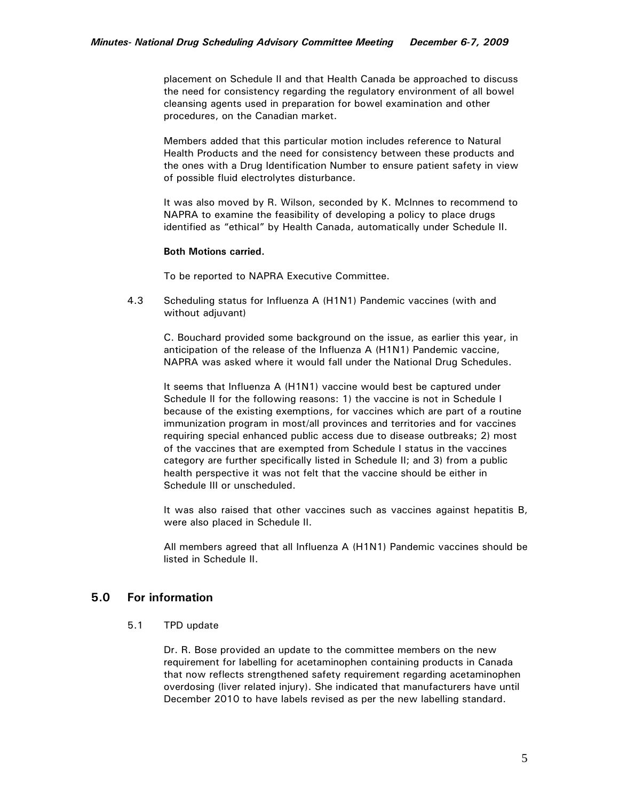placement on Schedule II and that Health Canada be approached to discuss the need for consistency regarding the regulatory environment of all bowel cleansing agents used in preparation for bowel examination and other procedures, on the Canadian market.

 Members added that this particular motion includes reference to Natural Health Products and the need for consistency between these products and the ones with a Drug Identification Number to ensure patient safety in view of possible fluid electrolytes disturbance.

 It was also moved by R. Wilson, seconded by K. McInnes to recommend to NAPRA to examine the feasibility of developing a policy to place drugs identified as "ethical" by Health Canada, automatically under Schedule II.

#### **Both Motions carried.**

To be reported to NAPRA Executive Committee.

4.3 Scheduling status for Influenza A (H1N1) Pandemic vaccines (with and without adjuvant)

 C. Bouchard provided some background on the issue, as earlier this year, in anticipation of the release of the Influenza A (H1N1) Pandemic vaccine, NAPRA was asked where it would fall under the National Drug Schedules.

 It seems that Influenza A (H1N1) vaccine would best be captured under Schedule II for the following reasons: 1) the vaccine is not in Schedule I because of the existing exemptions, for vaccines which are part of a routine immunization program in most/all provinces and territories and for vaccines requiring special enhanced public access due to disease outbreaks; 2) most of the vaccines that are exempted from Schedule I status in the vaccines category are further specifically listed in Schedule II; and 3) from a public health perspective it was not felt that the vaccine should be either in Schedule III or unscheduled.

It was also raised that other vaccines such as vaccines against hepatitis B, were also placed in Schedule II.

All members agreed that all Influenza A (H1N1) Pandemic vaccines should be listed in Schedule II.

# **5.0 For information**

5.1 TPD update

Dr. R. Bose provided an update to the committee members on the new requirement for labelling for acetaminophen containing products in Canada that now reflects strengthened safety requirement regarding acetaminophen overdosing (liver related injury). She indicated that manufacturers have until December 2010 to have labels revised as per the new labelling standard.